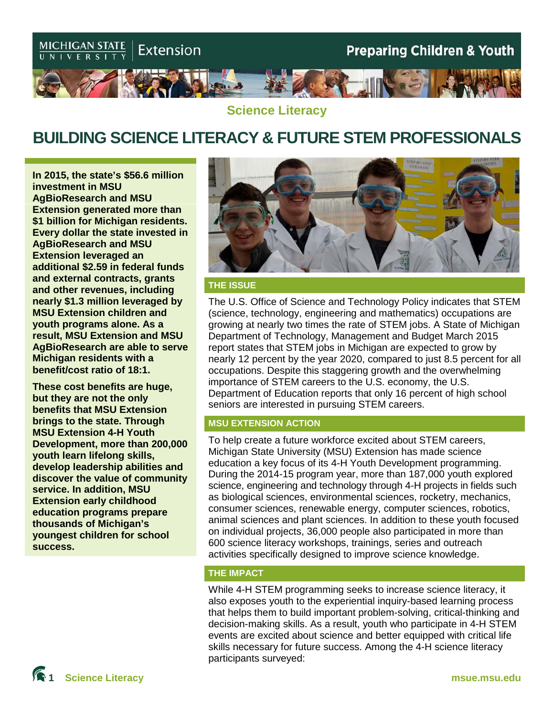

**Science Literacy**

# **BUILDING SCIENCE LITERACY & FUTURE STEM PROFESSIONALS**

**In 2015, the state's \$56.6 million investment in MSU AgBioResearch and MSU Extension generated more than \$1 billion for Michigan residents. Every dollar the state invested in AgBioResearch and MSU Extension leveraged an additional \$2.59 in federal funds and external contracts, grants and other revenues, including nearly \$1.3 million leveraged by MSU Extension children and youth programs alone. As a result, MSU Extension and MSU AgBioResearch are able to serve Michigan residents with a benefit/cost ratio of 18:1.**

**These cost benefits are huge, but they are not the only benefits that MSU Extension brings to the state. Through MSU Extension 4-H Youth Development, more than 200,000 youth learn lifelong skills, develop leadership abilities and discover the value of community service. In addition, MSU Extension early childhood education programs prepare thousands of Michigan's youngest children for school success.** 



### **THE ISSUE**

The U.S. Office of Science and Technology Policy indicates that STEM (science, technology, engineering and mathematics) occupations are growing at nearly two times the rate of STEM jobs. A State of Michigan Department of Technology, Management and Budget March 2015 report states that STEM jobs in Michigan are expected to grow by nearly 12 percent by the year 2020, compared to just 8.5 percent for all occupations. Despite this staggering growth and the overwhelming importance of STEM careers to the U.S. economy, the U.S. Department of Education reports that only 16 percent of high school seniors are interested in pursuing STEM careers.

### **MSU EXTENSION ACTION**

To help create a future workforce excited about STEM careers, Michigan State University (MSU) Extension has made science education a key focus of its 4-H Youth Development programming. During the 2014-15 program year, more than 187,000 youth explored science, engineering and technology through 4-H projects in fields such as biological sciences, environmental sciences, rocketry, mechanics, consumer sciences, renewable energy, computer sciences, robotics, animal sciences and plant sciences. In addition to these youth focused on individual projects, 36,000 people also participated in more than 600 science literacy workshops, trainings, series and outreach activities specifically designed to improve science knowledge.

### **THE IMPACT**

While 4-H STEM programming seeks to increase science literacy, it also exposes youth to the experiential inquiry-based learning process that helps them to build important problem-solving, critical-thinking and decision-making skills. As a result, youth who participate in 4-H STEM events are excited about science and better equipped with critical life skills necessary for future success. Among the 4-H science literacy participants surveyed: